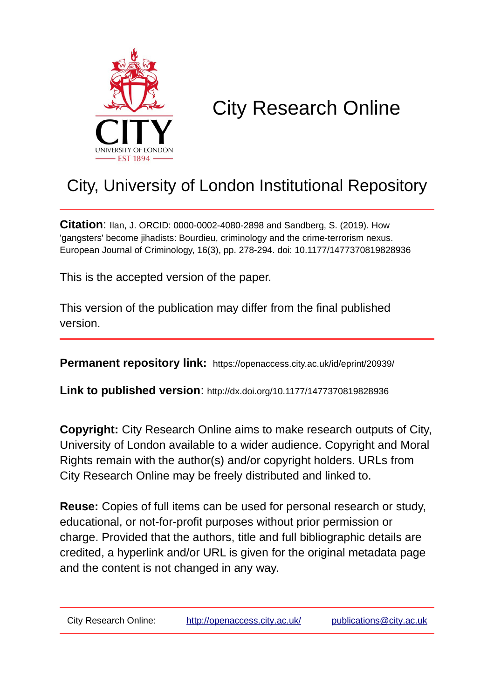

# City Research Online

# City, University of London Institutional Repository

**Citation**: Ilan, J. ORCID: 0000-0002-4080-2898 and Sandberg, S. (2019). How 'gangsters' become jihadists: Bourdieu, criminology and the crime-terrorism nexus. European Journal of Criminology, 16(3), pp. 278-294. doi: 10.1177/1477370819828936

This is the accepted version of the paper.

This version of the publication may differ from the final published version.

**Permanent repository link:** https://openaccess.city.ac.uk/id/eprint/20939/

**Link to published version**: http://dx.doi.org/10.1177/1477370819828936

**Copyright:** City Research Online aims to make research outputs of City, University of London available to a wider audience. Copyright and Moral Rights remain with the author(s) and/or copyright holders. URLs from City Research Online may be freely distributed and linked to.

**Reuse:** Copies of full items can be used for personal research or study, educational, or not-for-profit purposes without prior permission or charge. Provided that the authors, title and full bibliographic details are credited, a hyperlink and/or URL is given for the original metadata page and the content is not changed in any way.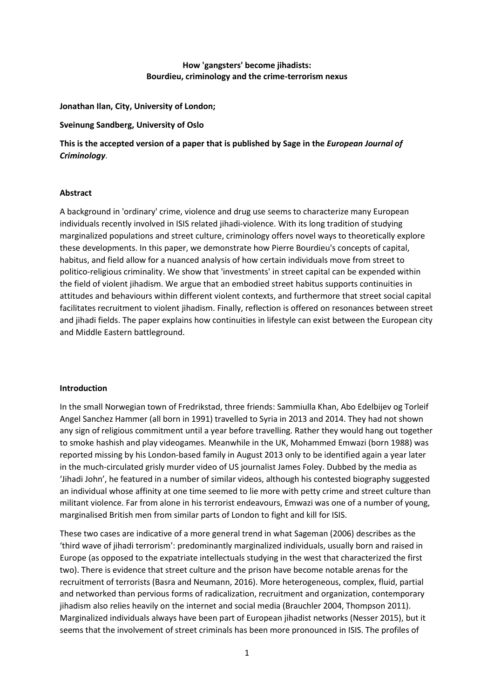# **How 'gangsters' become jihadists: Bourdieu, criminology and the crime-terrorism nexus**

**Jonathan Ilan, City, University of London;** 

#### **Sveinung Sandberg, University of Oslo**

**This is the accepted version of a paper that is published by Sage in the** *European Journal of Criminology*.

#### **Abstract**

A background in 'ordinary' crime, violence and drug use seems to characterize many European individuals recently involved in ISIS related jihadi-violence. With its long tradition of studying marginalized populations and street culture, criminology offers novel ways to theoretically explore these developments. In this paper, we demonstrate how Pierre Bourdieu's concepts of capital, habitus, and field allow for a nuanced analysis of how certain individuals move from street to politico-religious criminality. We show that 'investments' in street capital can be expended within the field of violent jihadism. We argue that an embodied street habitus supports continuities in attitudes and behaviours within different violent contexts, and furthermore that street social capital facilitates recruitment to violent jihadism. Finally, reflection is offered on resonances between street and jihadi fields. The paper explains how continuities in lifestyle can exist between the European city and Middle Eastern battleground.

# **Introduction**

In the small Norwegian town of Fredrikstad, three friends: Sammiulla Khan, Abo Edelbijev og Torleif Angel Sanchez Hammer (all born in 1991) travelled to Syria in 2013 and 2014. They had not shown any sign of religious commitment until a year before travelling. Rather they would hang out together to smoke hashish and play videogames. Meanwhile in the UK, Mohammed Emwazi (born 1988) was reported missing by his London-based family in August 2013 only to be identified again a year later in the much-circulated grisly murder video of US journalist James Foley. Dubbed by the media as 'Jihadi John', he featured in a number of similar videos, although his contested biography suggested an individual whose affinity at one time seemed to lie more with petty crime and street culture than militant violence. Far from alone in his terrorist endeavours, Emwazi was one of a number of young, marginalised British men from similar parts of London to fight and kill for ISIS.

These two cases are indicative of a more general trend in what Sageman (2006) describes as the 'third wave of jihadi terrorism': predominantly marginalized individuals, usually born and raised in Europe (as opposed to the expatriate intellectuals studying in the west that characterized the first two). There is evidence that street culture and the prison have become notable arenas for the recruitment of terrorists (Basra and Neumann, 2016). More heterogeneous, complex, fluid, partial and networked than pervious forms of radicalization, recruitment and organization, contemporary jihadism also relies heavily on the internet and social media (Brauchler 2004, Thompson 2011). Marginalized individuals always have been part of European jihadist networks (Nesser 2015), but it seems that the involvement of street criminals has been more pronounced in ISIS. The profiles of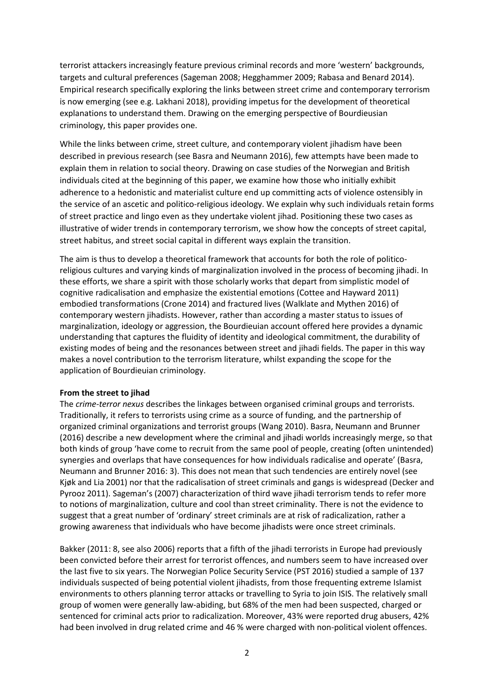terrorist attackers increasingly feature previous criminal records and more 'western' backgrounds, targets and cultural preferences (Sageman 2008; Hegghammer 2009; Rabasa and Benard 2014). Empirical research specifically exploring the links between street crime and contemporary terrorism is now emerging (see e.g. Lakhani 2018), providing impetus for the development of theoretical explanations to understand them. Drawing on the emerging perspective of Bourdieusian criminology, this paper provides one.

While the links between crime, street culture, and contemporary violent jihadism have been described in previous research (see Basra and Neumann 2016), few attempts have been made to explain them in relation to social theory. Drawing on case studies of the Norwegian and British individuals cited at the beginning of this paper, we examine how those who initially exhibit adherence to a hedonistic and materialist culture end up committing acts of violence ostensibly in the service of an ascetic and politico-religious ideology. We explain why such individuals retain forms of street practice and lingo even as they undertake violent jihad. Positioning these two cases as illustrative of wider trends in contemporary terrorism, we show how the concepts of street capital, street habitus, and street social capital in different ways explain the transition.

The aim is thus to develop a theoretical framework that accounts for both the role of politicoreligious cultures and varying kinds of marginalization involved in the process of becoming jihadi. In these efforts, we share a spirit with those scholarly works that depart from simplistic model of cognitive radicalisation and emphasize the existential emotions (Cottee and Hayward 2011) embodied transformations (Crone 2014) and fractured lives (Walklate and Mythen 2016) of contemporary western jihadists. However, rather than according a master status to issues of marginalization, ideology or aggression, the Bourdieuian account offered here provides a dynamic understanding that captures the fluidity of identity and ideological commitment, the durability of existing modes of being and the resonances between street and jihadi fields. The paper in this way makes a novel contribution to the terrorism literature, whilst expanding the scope for the application of Bourdieuian criminology.

# **From the street to jihad**

The *crime-terror nexus* describes the linkages between organised criminal groups and terrorists. Traditionally, it refers to terrorists using crime as a source of funding, and the partnership of organized criminal organizations and terrorist groups (Wang 2010). Basra, Neumann and Brunner (2016) describe a new development where the criminal and jihadi worlds increasingly merge, so that both kinds of group 'have come to recruit from the same pool of people, creating (often unintended) synergies and overlaps that have consequences for how individuals radicalise and operate' (Basra, Neumann and Brunner 2016: 3). This does not mean that such tendencies are entirely novel (see Kjøk and Lia 2001) nor that the radicalisation of street criminals and gangs is widespread (Decker and Pyrooz 2011). Sageman's (2007) characterization of third wave jihadi terrorism tends to refer more to notions of marginalization, culture and cool than street criminality. There is not the evidence to suggest that a great number of 'ordinary' street criminals are at risk of radicalization, rather a growing awareness that individuals who have become jihadists were once street criminals.

Bakker (2011: 8, see also 2006) reports that a fifth of the jihadi terrorists in Europe had previously been convicted before their arrest for terrorist offences, and numbers seem to have increased over the last five to six years. The Norwegian Police Security Service (PST 2016) studied a sample of 137 individuals suspected of being potential violent jihadists, from those frequenting extreme Islamist environments to others planning terror attacks or travelling to Syria to join ISIS. The relatively small group of women were generally law-abiding, but 68% of the men had been suspected, charged or sentenced for criminal acts prior to radicalization. Moreover, 43% were reported drug abusers, 42% had been involved in drug related crime and 46 % were charged with non-political violent offences.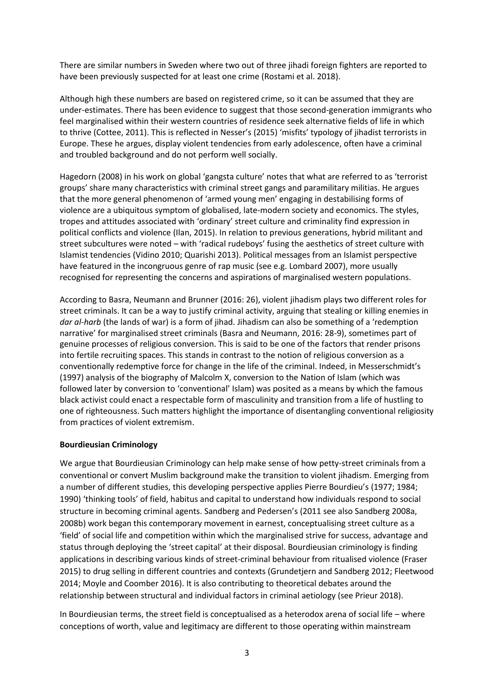There are similar numbers in Sweden where two out of three jihadi foreign fighters are reported to have been previously suspected for at least one crime (Rostami et al. 2018).

Although high these numbers are based on registered crime, so it can be assumed that they are under-estimates. There has been evidence to suggest that those second-generation immigrants who feel marginalised within their western countries of residence seek alternative fields of life in which to thrive (Cottee, 2011). This is reflected in Nesser's (2015) 'misfits' typology of jihadist terrorists in Europe. These he argues, display violent tendencies from early adolescence, often have a criminal and troubled background and do not perform well socially.

Hagedorn (2008) in his work on global 'gangsta culture' notes that what are referred to as 'terrorist groups' share many characteristics with criminal street gangs and paramilitary militias. He argues that the more general phenomenon of 'armed young men' engaging in destabilising forms of violence are a ubiquitous symptom of globalised, late-modern society and economics. The styles, tropes and attitudes associated with 'ordinary' street culture and criminality find expression in political conflicts and violence (Ilan, 2015). In relation to previous generations, hybrid militant and street subcultures were noted – with 'radical rudeboys' fusing the aesthetics of street culture with Islamist tendencies (Vidino 2010; Quarishi 2013). Political messages from an Islamist perspective have featured in the incongruous genre of rap music (see e.g. Lombard 2007), more usually recognised for representing the concerns and aspirations of marginalised western populations.

According to Basra, Neumann and Brunner (2016: 26), violent jihadism plays two different roles for street criminals. It can be a way to justify criminal activity, arguing that stealing or killing enemies in *dar al-harb* (the lands of war) is a form of jihad. Jihadism can also be something of a 'redemption narrative' for marginalised street criminals (Basra and Neumann, 2016: 28-9), sometimes part of genuine processes of religious conversion. This is said to be one of the factors that render prisons into fertile recruiting spaces. This stands in contrast to the notion of religious conversion as a conventionally redemptive force for change in the life of the criminal. Indeed, in Messerschmidt's (1997) analysis of the biography of Malcolm X, conversion to the Nation of Islam (which was followed later by conversion to 'conventional' Islam) was posited as a means by which the famous black activist could enact a respectable form of masculinity and transition from a life of hustling to one of righteousness. Such matters highlight the importance of disentangling conventional religiosity from practices of violent extremism.

# **Bourdieusian Criminology**

We argue that Bourdieusian Criminology can help make sense of how petty-street criminals from a conventional or convert Muslim background make the transition to violent jihadism. Emerging from a number of different studies, this developing perspective applies Pierre Bourdieu's (1977; 1984; 1990) 'thinking tools' of field, habitus and capital to understand how individuals respond to social structure in becoming criminal agents. Sandberg and Pedersen's (2011 see also Sandberg 2008a, 2008b) work began this contemporary movement in earnest, conceptualising street culture as a 'field' of social life and competition within which the marginalised strive for success, advantage and status through deploying the 'street capital' at their disposal. Bourdieusian criminology is finding applications in describing various kinds of street-criminal behaviour from ritualised violence (Fraser 2015) to drug selling in different countries and contexts (Grundetjern and Sandberg 2012; Fleetwood 2014; Moyle and Coomber 2016). It is also contributing to theoretical debates around the relationship between structural and individual factors in criminal aetiology (see Prieur 2018).

In Bourdieusian terms, the street field is conceptualised as a heterodox arena of social life – where conceptions of worth, value and legitimacy are different to those operating within mainstream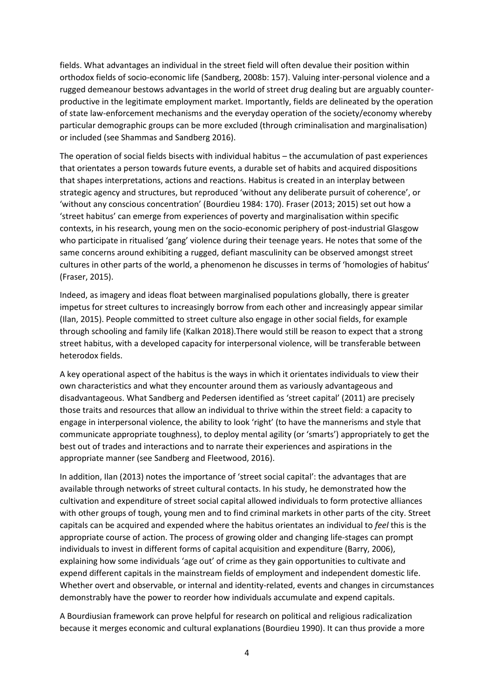fields. What advantages an individual in the street field will often devalue their position within orthodox fields of socio-economic life (Sandberg, 2008b: 157). Valuing inter-personal violence and a rugged demeanour bestows advantages in the world of street drug dealing but are arguably counterproductive in the legitimate employment market. Importantly, fields are delineated by the operation of state law-enforcement mechanisms and the everyday operation of the society/economy whereby particular demographic groups can be more excluded (through criminalisation and marginalisation) or included (see Shammas and Sandberg 2016).

The operation of social fields bisects with individual habitus – the accumulation of past experiences that orientates a person towards future events, a durable set of habits and acquired dispositions that shapes interpretations, actions and reactions. Habitus is created in an interplay between strategic agency and structures, but reproduced 'without any deliberate pursuit of coherence', or 'without any conscious concentration' (Bourdieu 1984: 170). Fraser (2013; 2015) set out how a 'street habitus' can emerge from experiences of poverty and marginalisation within specific contexts, in his research, young men on the socio-economic periphery of post-industrial Glasgow who participate in ritualised 'gang' violence during their teenage years. He notes that some of the same concerns around exhibiting a rugged, defiant masculinity can be observed amongst street cultures in other parts of the world, a phenomenon he discusses in terms of 'homologies of habitus' (Fraser, 2015).

Indeed, as imagery and ideas float between marginalised populations globally, there is greater impetus for street cultures to increasingly borrow from each other and increasingly appear similar (Ilan, 2015). People committed to street culture also engage in other social fields, for example through schooling and family life (Kalkan 2018).There would still be reason to expect that a strong street habitus, with a developed capacity for interpersonal violence, will be transferable between heterodox fields.

A key operational aspect of the habitus is the ways in which it orientates individuals to view their own characteristics and what they encounter around them as variously advantageous and disadvantageous. What Sandberg and Pedersen identified as 'street capital' (2011) are precisely those traits and resources that allow an individual to thrive within the street field: a capacity to engage in interpersonal violence, the ability to look 'right' (to have the mannerisms and style that communicate appropriate toughness), to deploy mental agility (or 'smarts') appropriately to get the best out of trades and interactions and to narrate their experiences and aspirations in the appropriate manner (see Sandberg and Fleetwood, 2016).

In addition, Ilan (2013) notes the importance of 'street social capital': the advantages that are available through networks of street cultural contacts. In his study, he demonstrated how the cultivation and expenditure of street social capital allowed individuals to form protective alliances with other groups of tough, young men and to find criminal markets in other parts of the city. Street capitals can be acquired and expended where the habitus orientates an individual to *feel* this is the appropriate course of action. The process of growing older and changing life-stages can prompt individuals to invest in different forms of capital acquisition and expenditure (Barry, 2006), explaining how some individuals 'age out' of crime as they gain opportunities to cultivate and expend different capitals in the mainstream fields of employment and independent domestic life. Whether overt and observable, or internal and identity-related, events and changes in circumstances demonstrably have the power to reorder how individuals accumulate and expend capitals.

A Bourdiusian framework can prove helpful for research on political and religious radicalization because it merges economic and cultural explanations (Bourdieu 1990). It can thus provide a more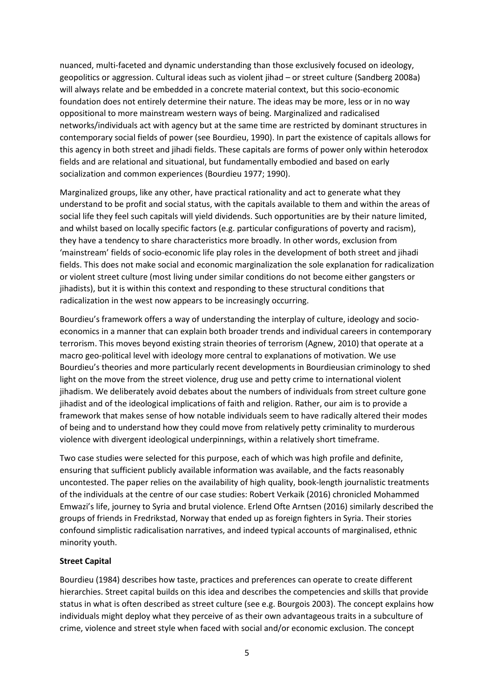nuanced, multi-faceted and dynamic understanding than those exclusively focused on ideology, geopolitics or aggression. Cultural ideas such as violent jihad – or street culture (Sandberg 2008a) will always relate and be embedded in a concrete material context, but this socio-economic foundation does not entirely determine their nature. The ideas may be more, less or in no way oppositional to more mainstream western ways of being. Marginalized and radicalised networks/individuals act with agency but at the same time are restricted by dominant structures in contemporary social fields of power (see Bourdieu, 1990). In part the existence of capitals allows for this agency in both street and jihadi fields. These capitals are forms of power only within heterodox fields and are relational and situational, but fundamentally embodied and based on early socialization and common experiences (Bourdieu 1977; 1990).

Marginalized groups, like any other, have practical rationality and act to generate what they understand to be profit and social status, with the capitals available to them and within the areas of social life they feel such capitals will yield dividends. Such opportunities are by their nature limited, and whilst based on locally specific factors (e.g. particular configurations of poverty and racism), they have a tendency to share characteristics more broadly. In other words, exclusion from 'mainstream' fields of socio-economic life play roles in the development of both street and jihadi fields. This does not make social and economic marginalization the sole explanation for radicalization or violent street culture (most living under similar conditions do not become either gangsters or jihadists), but it is within this context and responding to these structural conditions that radicalization in the west now appears to be increasingly occurring.

Bourdieu's framework offers a way of understanding the interplay of culture, ideology and socioeconomics in a manner that can explain both broader trends and individual careers in contemporary terrorism. This moves beyond existing strain theories of terrorism (Agnew, 2010) that operate at a macro geo-political level with ideology more central to explanations of motivation. We use Bourdieu's theories and more particularly recent developments in Bourdieusian criminology to shed light on the move from the street violence, drug use and petty crime to international violent jihadism. We deliberately avoid debates about the numbers of individuals from street culture gone jihadist and of the ideological implications of faith and religion. Rather, our aim is to provide a framework that makes sense of how notable individuals seem to have radically altered their modes of being and to understand how they could move from relatively petty criminality to murderous violence with divergent ideological underpinnings, within a relatively short timeframe.

Two case studies were selected for this purpose, each of which was high profile and definite, ensuring that sufficient publicly available information was available, and the facts reasonably uncontested. The paper relies on the availability of high quality, book-length journalistic treatments of the individuals at the centre of our case studies: Robert Verkaik (2016) chronicled Mohammed Emwazi's life, journey to Syria and brutal violence. Erlend Ofte Arntsen (2016) similarly described the groups of friends in Fredrikstad, Norway that ended up as foreign fighters in Syria. Their stories confound simplistic radicalisation narratives, and indeed typical accounts of marginalised, ethnic minority youth.

# **Street Capital**

Bourdieu (1984) describes how taste, practices and preferences can operate to create different hierarchies. Street capital builds on this idea and describes the competencies and skills that provide status in what is often described as street culture (see e.g. Bourgois 2003). The concept explains how individuals might deploy what they perceive of as their own advantageous traits in a subculture of crime, violence and street style when faced with social and/or economic exclusion. The concept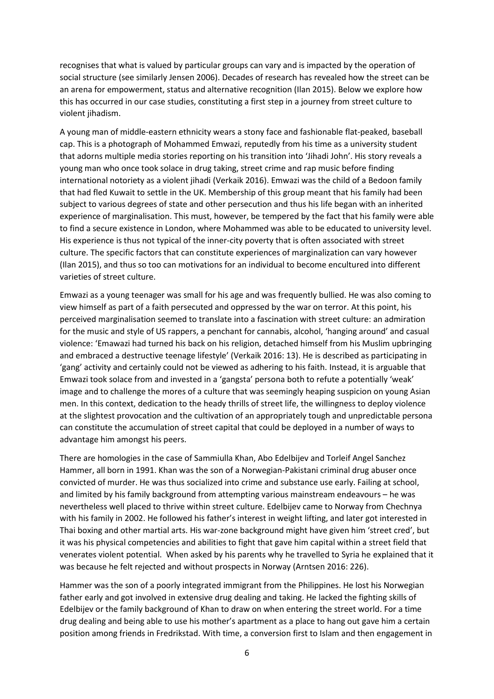recognises that what is valued by particular groups can vary and is impacted by the operation of social structure (see similarly Jensen 2006). Decades of research has revealed how the street can be an arena for empowerment, status and alternative recognition (Ilan 2015). Below we explore how this has occurred in our case studies, constituting a first step in a journey from street culture to violent jihadism.

A young man of middle-eastern ethnicity wears a stony face and fashionable flat-peaked, baseball cap. This is a photograph of Mohammed Emwazi, reputedly from his time as a university student that adorns multiple media stories reporting on his transition into 'Jihadi John'. His story reveals a young man who once took solace in drug taking, street crime and rap music before finding international notoriety as a violent jihadi (Verkaik 2016). Emwazi was the child of a Bedoon family that had fled Kuwait to settle in the UK. Membership of this group meant that his family had been subject to various degrees of state and other persecution and thus his life began with an inherited experience of marginalisation. This must, however, be tempered by the fact that his family were able to find a secure existence in London, where Mohammed was able to be educated to university level. His experience is thus not typical of the inner-city poverty that is often associated with street culture. The specific factors that can constitute experiences of marginalization can vary however (Ilan 2015), and thus so too can motivations for an individual to become encultured into different varieties of street culture.

Emwazi as a young teenager was small for his age and was frequently bullied. He was also coming to view himself as part of a faith persecuted and oppressed by the war on terror. At this point, his perceived marginalisation seemed to translate into a fascination with street culture: an admiration for the music and style of US rappers, a penchant for cannabis, alcohol, 'hanging around' and casual violence: 'Emawazi had turned his back on his religion, detached himself from his Muslim upbringing and embraced a destructive teenage lifestyle' (Verkaik 2016: 13). He is described as participating in 'gang' activity and certainly could not be viewed as adhering to his faith. Instead, it is arguable that Emwazi took solace from and invested in a 'gangsta' persona both to refute a potentially 'weak' image and to challenge the mores of a culture that was seemingly heaping suspicion on young Asian men. In this context, dedication to the heady thrills of street life, the willingness to deploy violence at the slightest provocation and the cultivation of an appropriately tough and unpredictable persona can constitute the accumulation of street capital that could be deployed in a number of ways to advantage him amongst his peers.

There are homologies in the case of Sammiulla Khan, Abo Edelbijev and Torleif Angel Sanchez Hammer, all born in 1991. Khan was the son of a Norwegian-Pakistani criminal drug abuser once convicted of murder. He was thus socialized into crime and substance use early. Failing at school, and limited by his family background from attempting various mainstream endeavours – he was nevertheless well placed to thrive within street culture. Edelbijev came to Norway from Chechnya with his family in 2002. He followed his father's interest in weight lifting, and later got interested in Thai boxing and other martial arts. His war-zone background might have given him 'street cred', but it was his physical competencies and abilities to fight that gave him capital within a street field that venerates violent potential. When asked by his parents why he travelled to Syria he explained that it was because he felt rejected and without prospects in Norway (Arntsen 2016: 226).

Hammer was the son of a poorly integrated immigrant from the Philippines. He lost his Norwegian father early and got involved in extensive drug dealing and taking. He lacked the fighting skills of Edelbijev or the family background of Khan to draw on when entering the street world. For a time drug dealing and being able to use his mother's apartment as a place to hang out gave him a certain position among friends in Fredrikstad. With time, a conversion first to Islam and then engagement in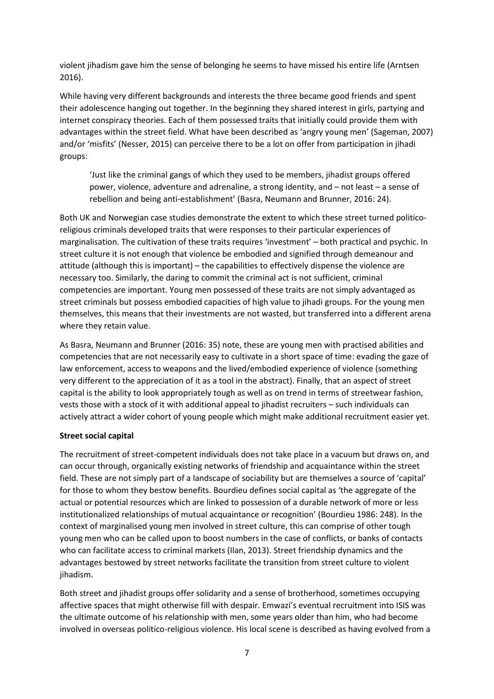violent jihadism gave him the sense of belonging he seems to have missed his entire life (Arntsen 2016).

While having very different backgrounds and interests the three became good friends and spent their adolescence hanging out together. In the beginning they shared interest in girls, partying and internet conspiracy theories. Each of them possessed traits that initially could provide them with advantages within the street field. What have been described as 'angry young men' (Sageman, 2007) and/or 'misfits' (Nesser, 2015) can perceive there to be a lot on offer from participation in jihadi groups:

'Just like the criminal gangs of which they used to be members, jihadist groups offered power, violence, adventure and adrenaline, a strong identity, and – not least – a sense of rebellion and being anti-establishment' (Basra, Neumann and Brunner, 2016: 24).

Both UK and Norwegian case studies demonstrate the extent to which these street turned politicoreligious criminals developed traits that were responses to their particular experiences of marginalisation. The cultivation of these traits requires 'investment' – both practical and psychic. In street culture it is not enough that violence be embodied and signified through demeanour and attitude (although this is important) – the capabilities to effectively dispense the violence are necessary too. Similarly, the daring to commit the criminal act is not sufficient, criminal competencies are important. Young men possessed of these traits are not simply advantaged as street criminals but possess embodied capacities of high value to jihadi groups. For the young men themselves, this means that their investments are not wasted, but transferred into a different arena where they retain value.

As Basra, Neumann and Brunner (2016: 35) note, these are young men with practised abilities and competencies that are not necessarily easy to cultivate in a short space of time: evading the gaze of law enforcement, access to weapons and the lived/embodied experience of violence (something very different to the appreciation of it as a tool in the abstract). Finally, that an aspect of street capital is the ability to look appropriately tough as well as on trend in terms of streetwear fashion, vests those with a stock of it with additional appeal to jihadist recruiters – such individuals can actively attract a wider cohort of young people which might make additional recruitment easier yet.

# **Street social capital**

The recruitment of street-competent individuals does not take place in a vacuum but draws on, and can occur through, organically existing networks of friendship and acquaintance within the street field. These are not simply part of a landscape of sociability but are themselves a source of 'capital' for those to whom they bestow benefits. Bourdieu defines social capital as 'the aggregate of the actual or potential resources which are linked to possession of a durable network of more or less institutionalized relationships of mutual acquaintance or recognition' (Bourdieu 1986: 248). In the context of marginalised young men involved in street culture, this can comprise of other tough young men who can be called upon to boost numbers in the case of conflicts, or banks of contacts who can facilitate access to criminal markets (Ilan, 2013). Street friendship dynamics and the advantages bestowed by street networks facilitate the transition from street culture to violent jihadism.

Both street and jihadist groups offer solidarity and a sense of brotherhood, sometimes occupying affective spaces that might otherwise fill with despair. Emwazi's eventual recruitment into ISIS was the ultimate outcome of his relationship with men, some years older than him, who had become involved in overseas politico-religious violence. His local scene is described as having evolved from a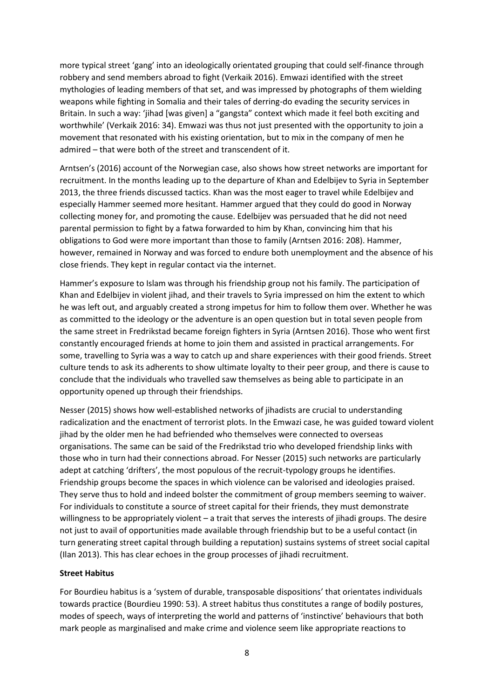more typical street 'gang' into an ideologically orientated grouping that could self-finance through robbery and send members abroad to fight (Verkaik 2016). Emwazi identified with the street mythologies of leading members of that set, and was impressed by photographs of them wielding weapons while fighting in Somalia and their tales of derring-do evading the security services in Britain. In such a way: 'jihad [was given] a "gangsta" context which made it feel both exciting and worthwhile' (Verkaik 2016: 34). Emwazi was thus not just presented with the opportunity to join a movement that resonated with his existing orientation, but to mix in the company of men he admired – that were both of the street and transcendent of it.

Arntsen's (2016) account of the Norwegian case, also shows how street networks are important for recruitment. In the months leading up to the departure of Khan and Edelbijev to Syria in September 2013, the three friends discussed tactics. Khan was the most eager to travel while Edelbijev and especially Hammer seemed more hesitant. Hammer argued that they could do good in Norway collecting money for, and promoting the cause. Edelbijev was persuaded that he did not need parental permission to fight by a fatwa forwarded to him by Khan, convincing him that his obligations to God were more important than those to family (Arntsen 2016: 208). Hammer, however, remained in Norway and was forced to endure both unemployment and the absence of his close friends. They kept in regular contact via the internet.

Hammer's exposure to Islam was through his friendship group not his family. The participation of Khan and Edelbijev in violent jihad, and their travels to Syria impressed on him the extent to which he was left out, and arguably created a strong impetus for him to follow them over. Whether he was as committed to the ideology or the adventure is an open question but in total seven people from the same street in Fredrikstad became foreign fighters in Syria (Arntsen 2016). Those who went first constantly encouraged friends at home to join them and assisted in practical arrangements. For some, travelling to Syria was a way to catch up and share experiences with their good friends. Street culture tends to ask its adherents to show ultimate loyalty to their peer group, and there is cause to conclude that the individuals who travelled saw themselves as being able to participate in an opportunity opened up through their friendships.

Nesser (2015) shows how well-established networks of jihadists are crucial to understanding radicalization and the enactment of terrorist plots. In the Emwazi case, he was guided toward violent jihad by the older men he had befriended who themselves were connected to overseas organisations. The same can be said of the Fredrikstad trio who developed friendship links with those who in turn had their connections abroad. For Nesser (2015) such networks are particularly adept at catching 'drifters', the most populous of the recruit-typology groups he identifies. Friendship groups become the spaces in which violence can be valorised and ideologies praised. They serve thus to hold and indeed bolster the commitment of group members seeming to waiver. For individuals to constitute a source of street capital for their friends, they must demonstrate willingness to be appropriately violent – a trait that serves the interests of jihadi groups. The desire not just to avail of opportunities made available through friendship but to be a useful contact (in turn generating street capital through building a reputation) sustains systems of street social capital (Ilan 2013). This has clear echoes in the group processes of jihadi recruitment.

# **Street Habitus**

For Bourdieu habitus is a 'system of durable, transposable dispositions' that orientates individuals towards practice (Bourdieu 1990: 53). A street habitus thus constitutes a range of bodily postures, modes of speech, ways of interpreting the world and patterns of 'instinctive' behaviours that both mark people as marginalised and make crime and violence seem like appropriate reactions to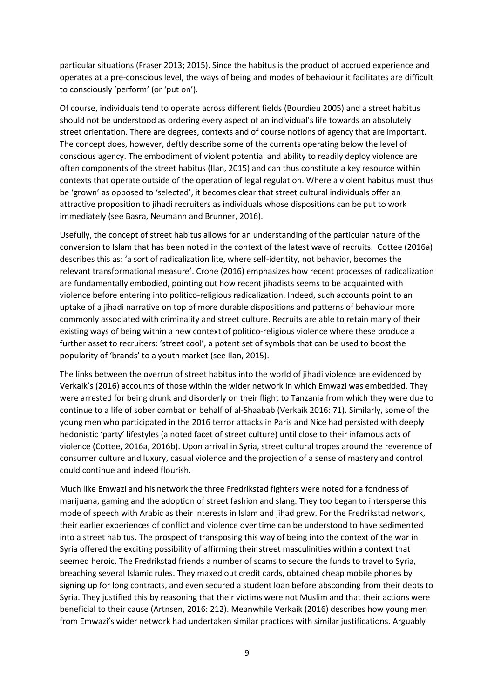particular situations (Fraser 2013; 2015). Since the habitus is the product of accrued experience and operates at a pre-conscious level, the ways of being and modes of behaviour it facilitates are difficult to consciously 'perform' (or 'put on').

Of course, individuals tend to operate across different fields (Bourdieu 2005) and a street habitus should not be understood as ordering every aspect of an individual's life towards an absolutely street orientation. There are degrees, contexts and of course notions of agency that are important. The concept does, however, deftly describe some of the currents operating below the level of conscious agency. The embodiment of violent potential and ability to readily deploy violence are often components of the street habitus (Ilan, 2015) and can thus constitute a key resource within contexts that operate outside of the operation of legal regulation. Where a violent habitus must thus be 'grown' as opposed to 'selected', it becomes clear that street cultural individuals offer an attractive proposition to jihadi recruiters as individuals whose dispositions can be put to work immediately (see Basra, Neumann and Brunner, 2016).

Usefully, the concept of street habitus allows for an understanding of the particular nature of the conversion to Islam that has been noted in the context of the latest wave of recruits. Cottee (2016a) describes this as: 'a sort of radicalization lite, where self-identity, not behavior, becomes the relevant transformational measure'. Crone (2016) emphasizes how recent processes of radicalization are fundamentally embodied, pointing out how recent jihadists seems to be acquainted with violence before entering into politico-religious radicalization. Indeed, such accounts point to an uptake of a jihadi narrative on top of more durable dispositions and patterns of behaviour more commonly associated with criminality and street culture. Recruits are able to retain many of their existing ways of being within a new context of politico-religious violence where these produce a further asset to recruiters: 'street cool', a potent set of symbols that can be used to boost the popularity of 'brands' to a youth market (see Ilan, 2015).

The links between the overrun of street habitus into the world of jihadi violence are evidenced by Verkaik's (2016) accounts of those within the wider network in which Emwazi was embedded. They were arrested for being drunk and disorderly on their flight to Tanzania from which they were due to continue to a life of sober combat on behalf of al-Shaabab (Verkaik 2016: 71). Similarly, some of the young men who participated in the 2016 terror attacks in Paris and Nice had persisted with deeply hedonistic 'party' lifestyles (a noted facet of street culture) until close to their infamous acts of violence (Cottee, 2016a, 2016b). Upon arrival in Syria, street cultural tropes around the reverence of consumer culture and luxury, casual violence and the projection of a sense of mastery and control could continue and indeed flourish.

Much like Emwazi and his network the three Fredrikstad fighters were noted for a fondness of marijuana, gaming and the adoption of street fashion and slang. They too began to intersperse this mode of speech with Arabic as their interests in Islam and jihad grew. For the Fredrikstad network, their earlier experiences of conflict and violence over time can be understood to have sedimented into a street habitus. The prospect of transposing this way of being into the context of the war in Syria offered the exciting possibility of affirming their street masculinities within a context that seemed heroic. The Fredrikstad friends a number of scams to secure the funds to travel to Syria, breaching several Islamic rules. They maxed out credit cards, obtained cheap mobile phones by signing up for long contracts, and even secured a student loan before absconding from their debts to Syria. They justified this by reasoning that their victims were not Muslim and that their actions were beneficial to their cause (Artnsen, 2016: 212). Meanwhile Verkaik (2016) describes how young men from Emwazi's wider network had undertaken similar practices with similar justifications. Arguably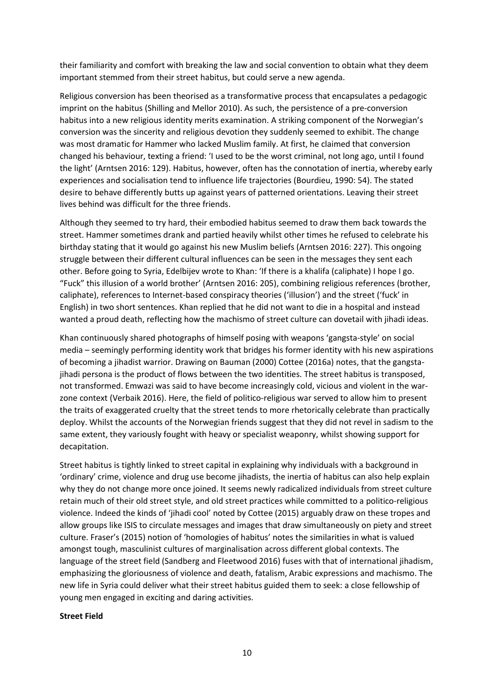their familiarity and comfort with breaking the law and social convention to obtain what they deem important stemmed from their street habitus, but could serve a new agenda.

Religious conversion has been theorised as a transformative process that encapsulates a pedagogic imprint on the habitus (Shilling and Mellor 2010). As such, the persistence of a pre-conversion habitus into a new religious identity merits examination. A striking component of the Norwegian's conversion was the sincerity and religious devotion they suddenly seemed to exhibit. The change was most dramatic for Hammer who lacked Muslim family. At first, he claimed that conversion changed his behaviour, texting a friend: 'I used to be the worst criminal, not long ago, until I found the light' (Arntsen 2016: 129). Habitus, however, often has the connotation of inertia, whereby early experiences and socialisation tend to influence life trajectories (Bourdieu, 1990: 54). The stated desire to behave differently butts up against years of patterned orientations. Leaving their street lives behind was difficult for the three friends.

Although they seemed to try hard, their embodied habitus seemed to draw them back towards the street. Hammer sometimes drank and partied heavily whilst other times he refused to celebrate his birthday stating that it would go against his new Muslim beliefs (Arntsen 2016: 227). This ongoing struggle between their different cultural influences can be seen in the messages they sent each other. Before going to Syria, Edelbijev wrote to Khan: 'If there is a khalifa (caliphate) I hope I go. "Fuck" this illusion of a world brother' (Arntsen 2016: 205), combining religious references (brother, caliphate), references to Internet-based conspiracy theories ('illusion') and the street ('fuck' in English) in two short sentences. Khan replied that he did not want to die in a hospital and instead wanted a proud death, reflecting how the machismo of street culture can dovetail with jihadi ideas.

Khan continuously shared photographs of himself posing with weapons 'gangsta-style' on social media – seemingly performing identity work that bridges his former identity with his new aspirations of becoming a jihadist warrior. Drawing on Bauman (2000) Cottee (2016a) notes, that the gangstajihadi persona is the product of flows between the two identities. The street habitus is transposed, not transformed. Emwazi was said to have become increasingly cold, vicious and violent in the warzone context (Verbaik 2016). Here, the field of politico-religious war served to allow him to present the traits of exaggerated cruelty that the street tends to more rhetorically celebrate than practically deploy. Whilst the accounts of the Norwegian friends suggest that they did not revel in sadism to the same extent, they variously fought with heavy or specialist weaponry, whilst showing support for decapitation.

Street habitus is tightly linked to street capital in explaining why individuals with a background in 'ordinary' crime, violence and drug use become jihadists, the inertia of habitus can also help explain why they do not change more once joined. It seems newly radicalized individuals from street culture retain much of their old street style, and old street practices while committed to a politico-religious violence. Indeed the kinds of 'jihadi cool' noted by Cottee (2015) arguably draw on these tropes and allow groups like ISIS to circulate messages and images that draw simultaneously on piety and street culture. Fraser's (2015) notion of 'homologies of habitus' notes the similarities in what is valued amongst tough, masculinist cultures of marginalisation across different global contexts. The language of the street field (Sandberg and Fleetwood 2016) fuses with that of international jihadism, emphasizing the gloriousness of violence and death, fatalism, Arabic expressions and machismo. The new life in Syria could deliver what their street habitus guided them to seek: a close fellowship of young men engaged in exciting and daring activities.

# **Street Field**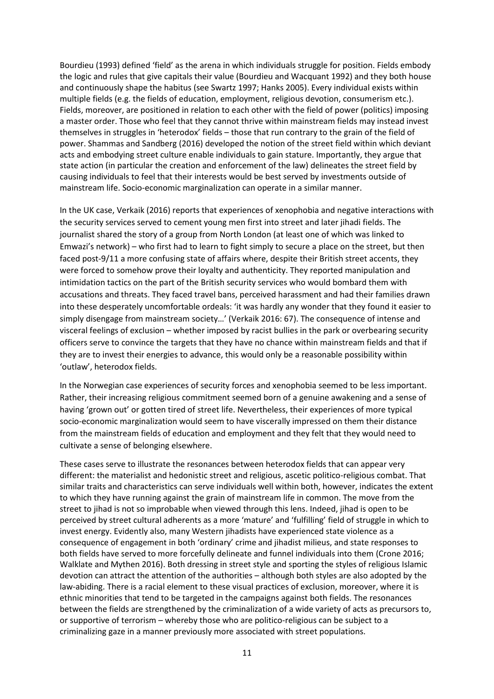Bourdieu (1993) defined 'field' as the arena in which individuals struggle for position. Fields embody the logic and rules that give capitals their value (Bourdieu and Wacquant 1992) and they both house and continuously shape the habitus (see Swartz 1997; Hanks 2005). Every individual exists within multiple fields (e.g. the fields of education, employment, religious devotion, consumerism etc.). Fields, moreover, are positioned in relation to each other with the field of power (politics) imposing a master order. Those who feel that they cannot thrive within mainstream fields may instead invest themselves in struggles in 'heterodox' fields – those that run contrary to the grain of the field of power. Shammas and Sandberg (2016) developed the notion of the street field within which deviant acts and embodying street culture enable individuals to gain stature. Importantly, they argue that state action (in particular the creation and enforcement of the law) delineates the street field by causing individuals to feel that their interests would be best served by investments outside of mainstream life. Socio-economic marginalization can operate in a similar manner.

In the UK case, Verkaik (2016) reports that experiences of xenophobia and negative interactions with the security services served to cement young men first into street and later jihadi fields. The journalist shared the story of a group from North London (at least one of which was linked to Emwazi's network) – who first had to learn to fight simply to secure a place on the street, but then faced post-9/11 a more confusing state of affairs where, despite their British street accents, they were forced to somehow prove their loyalty and authenticity. They reported manipulation and intimidation tactics on the part of the British security services who would bombard them with accusations and threats. They faced travel bans, perceived harassment and had their families drawn into these desperately uncomfortable ordeals: 'it was hardly any wonder that they found it easier to simply disengage from mainstream society…' (Verkaik 2016: 67). The consequence of intense and visceral feelings of exclusion – whether imposed by racist bullies in the park or overbearing security officers serve to convince the targets that they have no chance within mainstream fields and that if they are to invest their energies to advance, this would only be a reasonable possibility within 'outlaw', heterodox fields.

In the Norwegian case experiences of security forces and xenophobia seemed to be less important. Rather, their increasing religious commitment seemed born of a genuine awakening and a sense of having 'grown out' or gotten tired of street life. Nevertheless, their experiences of more typical socio-economic marginalization would seem to have viscerally impressed on them their distance from the mainstream fields of education and employment and they felt that they would need to cultivate a sense of belonging elsewhere.

These cases serve to illustrate the resonances between heterodox fields that can appear very different: the materialist and hedonistic street and religious, ascetic politico-religious combat. That similar traits and characteristics can serve individuals well within both, however, indicates the extent to which they have running against the grain of mainstream life in common. The move from the street to jihad is not so improbable when viewed through this lens. Indeed, jihad is open to be perceived by street cultural adherents as a more 'mature' and 'fulfilling' field of struggle in which to invest energy. Evidently also, many Western jihadists have experienced state violence as a consequence of engagement in both 'ordinary' crime and jihadist milieus, and state responses to both fields have served to more forcefully delineate and funnel individuals into them (Crone 2016; Walklate and Mythen 2016). Both dressing in street style and sporting the styles of religious Islamic devotion can attract the attention of the authorities – although both styles are also adopted by the law-abiding. There is a racial element to these visual practices of exclusion, moreover, where it is ethnic minorities that tend to be targeted in the campaigns against both fields. The resonances between the fields are strengthened by the criminalization of a wide variety of acts as precursors to, or supportive of terrorism – whereby those who are politico-religious can be subject to a criminalizing gaze in a manner previously more associated with street populations.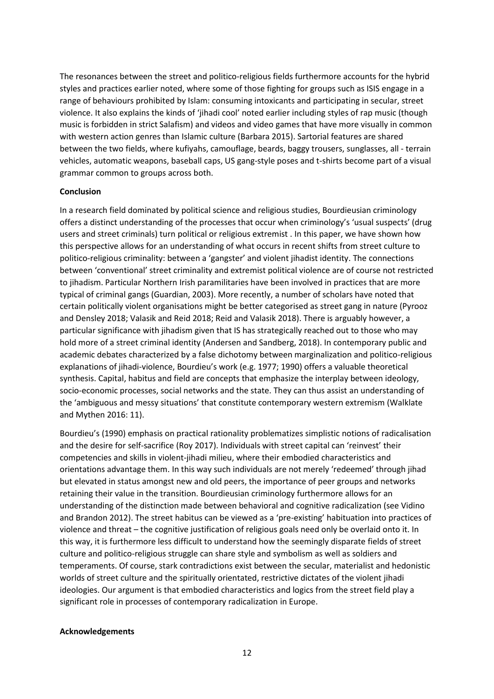The resonances between the street and politico-religious fields furthermore accounts for the hybrid styles and practices earlier noted, where some of those fighting for groups such as ISIS engage in a range of behaviours prohibited by Islam: consuming intoxicants and participating in secular, street violence. It also explains the kinds of 'jihadi cool' noted earlier including styles of rap music (though music is forbidden in strict Salafism) and videos and video games that have more visually in common with western action genres than Islamic culture (Barbara 2015). Sartorial features are shared between the two fields, where kufiyahs, camouflage, beards, baggy trousers, sunglasses, all - terrain vehicles, automatic weapons, baseball caps, US gang-style poses and t-shirts become part of a visual grammar common to groups across both.

#### **Conclusion**

In a research field dominated by political science and religious studies, Bourdieusian criminology offers a distinct understanding of the processes that occur when criminology's 'usual suspects' (drug users and street criminals) turn political or religious extremist . In this paper, we have shown how this perspective allows for an understanding of what occurs in recent shifts from street culture to politico-religious criminality: between a 'gangster' and violent jihadist identity. The connections between 'conventional' street criminality and extremist political violence are of course not restricted to jihadism. Particular Northern Irish paramilitaries have been involved in practices that are more typical of criminal gangs (Guardian, 2003). More recently, a number of scholars have noted that certain politically violent organisations might be better categorised as street gang in nature (Pyrooz and Densley 2018; Valasik and Reid 2018; Reid and Valasik 2018). There is arguably however, a particular significance with jihadism given that IS has strategically reached out to those who may hold more of a street criminal identity (Andersen and Sandberg, 2018). In contemporary public and academic debates characterized by a false dichotomy between marginalization and politico-religious explanations of jihadi-violence, Bourdieu's work (e.g. 1977; 1990) offers a valuable theoretical synthesis. Capital, habitus and field are concepts that emphasize the interplay between ideology, socio-economic processes, social networks and the state. They can thus assist an understanding of the 'ambiguous and messy situations' that constitute contemporary western extremism (Walklate and Mythen 2016: 11).

Bourdieu's (1990) emphasis on practical rationality problematizes simplistic notions of radicalisation and the desire for self-sacrifice (Roy 2017). Individuals with street capital can 'reinvest' their competencies and skills in violent-jihadi milieu, where their embodied characteristics and orientations advantage them. In this way such individuals are not merely 'redeemed' through jihad but elevated in status amongst new and old peers, the importance of peer groups and networks retaining their value in the transition. Bourdieusian criminology furthermore allows for an understanding of the distinction made between behavioral and cognitive radicalization (see Vidino and Brandon 2012). The street habitus can be viewed as a 'pre-existing' habituation into practices of violence and threat – the cognitive justification of religious goals need only be overlaid onto it. In this way, it is furthermore less difficult to understand how the seemingly disparate fields of street culture and politico-religious struggle can share style and symbolism as well as soldiers and temperaments. Of course, stark contradictions exist between the secular, materialist and hedonistic worlds of street culture and the spiritually orientated, restrictive dictates of the violent jihadi ideologies. Our argument is that embodied characteristics and logics from the street field play a significant role in processes of contemporary radicalization in Europe.

#### **Acknowledgements**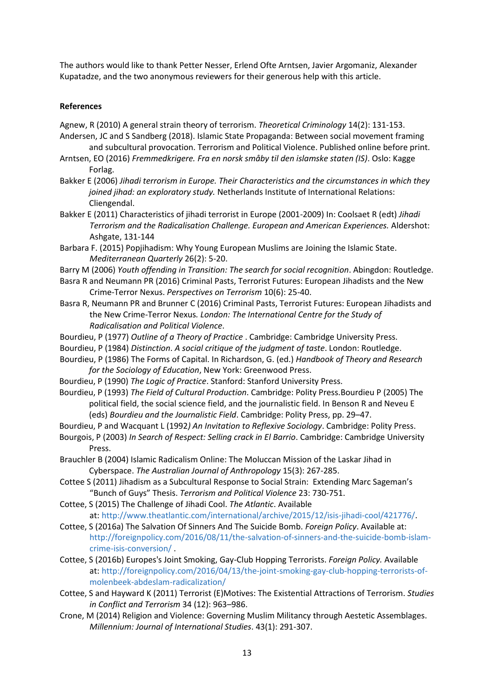The authors would like to thank Petter Nesser, Erlend Ofte Arntsen, Javier Argomaniz, Alexander Kupatadze, and the two anonymous reviewers for their generous help with this article.

#### **References**

Agnew, R (2010) A general strain theory of terrorism. *Theoretical Criminology* 14(2): 131-153.

- Andersen, JC and S Sandberg (2018). Islamic State Propaganda: Between social movement framing and subcultural provocation. Terrorism and Political Violence. Published online before print.
- Arntsen, EO (2016) *Fremmedkrigere. Fra en norsk småby til den islamske staten (IS)*. Oslo: Kagge Forlag.
- Bakker E (2006) *Jihadi terrorism in Europe. Their Characteristics and the circumstances in which they joined jihad: an exploratory study.* Netherlands Institute of International Relations: Cliengendal.
- Bakker E (2011) Characteristics of jihadi terrorist in Europe (2001-2009) In: Coolsaet R (edt) *Jihadi Terrorism and the Radicalisation Challenge. European and American Experiences.* Aldershot: Ashgate, 131-144
- Barbara F. (2015) Popjihadism: Why Young European Muslims are Joining the Islamic State. *Mediterranean Quarterly* 26(2): 5-20.
- Barry M (2006) *Youth offending in Transition: The search for social recognition*. Abingdon: Routledge.
- Basra R and Neumann PR (2016) Criminal Pasts, Terrorist Futures: European Jihadists and the New Crime-Terror Nexus. *Perspectives on Terrorism* 10(6): 25-40.
- Basra R, Neumann PR and Brunner C (2016) Criminal Pasts, Terrorist Futures: European Jihadists and the New Crime-Terror Nexus*. London: The International Centre for the Study of Radicalisation and Political Violence*.
- Bourdieu, P (1977) *Outline of a Theory of Practice* . Cambridge: Cambridge University Press.
- Bourdieu, P (1984) *Distinction*. *A social critique of the judgment of taste*. London: Routledge.
- Bourdieu, P (1986) The Forms of Capital. In Richardson, G. (ed.) *Handbook of Theory and Research for the Sociology of Education*, New York: Greenwood Press.
- Bourdieu, P (1990) *The Logic of Practice*. Stanford: Stanford University Press.

Bourdieu, P (1993) *The Field of Cultural Production*. Cambridge: Polity Press.Bourdieu P (2005) The political field, the social science field, and the journalistic field. In Benson R and Neveu E

- (eds) *Bourdieu and the Journalistic Field*. Cambridge: Polity Press, pp. 29–47.
- Bourdieu, P and Wacquant L (1992*) An Invitation to Reflexive Sociology*. Cambridge: Polity Press.
- Bourgois, P (2003) *In Search of Respect: Selling crack in El Barrio*. Cambridge: Cambridge University Press.
- Brauchler B (2004) Islamic Radicalism Online: The Moluccan Mission of the Laskar Jihad in Cyberspace. *The Australian Journal of Anthropology* 15(3): 267-285.
- Cottee S (2011) Jihadism as a Subcultural Response to Social Strain: Extending Marc Sageman's "Bunch of Guys" Thesis. *Terrorism and Political Violence* 23: 730-751.
- Cottee, S (2015) The Challenge of Jihadi Cool. *The Atlantic*. Available

at: [http://www.theatlantic.com/international/archive/2015/12/isis-jihadi-cool/421776/.](http://www.theatlantic.com/international/archive/2015/12/isis-jihadi-cool/421776/)

- Cottee, S (2016a) The Salvation Of Sinners And The Suicide Bomb. *Foreign Policy*. Available at: [http://foreignpolicy.com/2016/08/11/the-salvation-of-sinners-and-the-suicide-bomb-islam](http://foreignpolicy.com/2016/08/11/the-salvation-of-sinners-and-the-suicide-bomb-islam-crime-isis-conversion/)[crime-isis-conversion/](http://foreignpolicy.com/2016/08/11/the-salvation-of-sinners-and-the-suicide-bomb-islam-crime-isis-conversion/) .
- Cottee, S (2016b) Europes's Joint Smoking, Gay-Club Hopping Terrorists. *Foreign Policy.* Available at: [http://foreignpolicy.com/2016/04/13/the-joint-smoking-gay-club-hopping-terrorists-of](http://foreignpolicy.com/2016/04/13/the-joint-smoking-gay-club-hopping-terrorists-of-molenbeek-abdeslam-radicalization/)[molenbeek-abdeslam-radicalization/](http://foreignpolicy.com/2016/04/13/the-joint-smoking-gay-club-hopping-terrorists-of-molenbeek-abdeslam-radicalization/)
- Cottee, S and Hayward K (2011) Terrorist (E)Motives: The Existential Attractions of Terrorism. *Studies in Conflict and Terrorism* 34 (12): 963–986.
- Crone, M (2014) Religion and Violence: Governing Muslim Militancy through Aestetic Assemblages. *Millennium: Journal of International Studies*. 43(1): 291-307.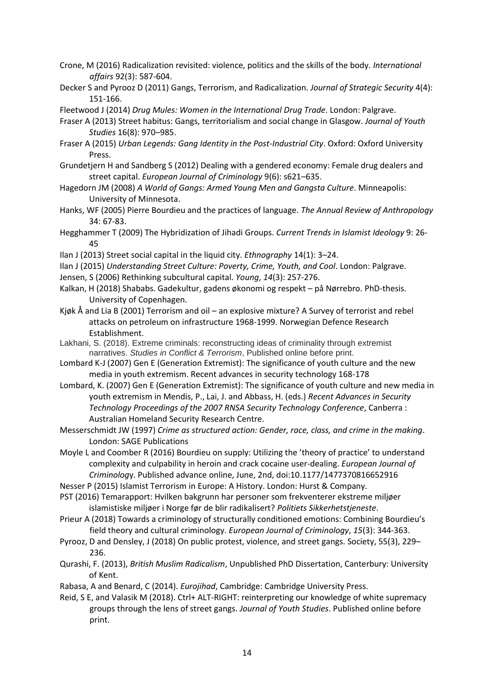- Crone, M (2016) Radicalization revisited: violence, politics and the skills of the body. *International affairs* 92(3): 587-604.
- Decker S and Pyrooz D (2011) Gangs, Terrorism, and Radicalization. *Journal of Strategic Security* 4(4): 151-166.
- Fleetwood J (2014) *Drug Mules: Women in the International Drug Trade*. London: Palgrave.
- Fraser A (2013) Street habitus: Gangs, territorialism and social change in Glasgow. *Journal of Youth Studies* 16(8): 970–985.
- Fraser A (2015) *Urban Legends: Gang Identity in the Post-Industrial City*. Oxford: Oxford University Press.
- Grundetjern H and Sandberg S (2012) Dealing with a gendered economy: Female drug dealers and street capital. *European Journal of Criminology* 9(6): s621–635.
- Hagedorn JM (2008) *A World of Gangs: Armed Young Men and Gangsta Culture*. Minneapolis: University of Minnesota.
- Hanks, WF (2005) Pierre Bourdieu and the practices of language. *The Annual Review of Anthropology* 34: 67-83.
- Hegghammer T (2009) The Hybridization of Jihadi Groups. *Current Trends in Islamist Ideology* 9: 26- 45
- Ilan J (2013) Street social capital in the liquid city. *Ethnography* 14(1): 3–24.
- Ilan J (2015) *Understanding Street Culture: Poverty, Crime, Youth, and Cool*. London: Palgrave.
- Jensen, S (2006) Rethinking subcultural capital. *Young*, *14*(3): 257-276.
- Kalkan, H (2018) Shababs. Gadekultur, gadens økonomi og respekt på Nørrebro. PhD-thesis. University of Copenhagen.
- Kjøk Å and Lia B (2001) Terrorism and oil an explosive mixture? A Survey of terrorist and rebel attacks on petroleum on infrastructure 1968-1999. Norwegian Defence Research Establishment.
- Lakhani, S. (2018). Extreme criminals: reconstructing ideas of criminality through extremist narratives. *Studies in Conflict & Terrorism*, Published online before print.
- Lombard K-J (2007) Gen E (Generation Extremist): The significance of youth culture and the new media in youth extremism. Recent advances in security technology 168-178
- Lombard, K. (2007) Gen E (Generation Extremist): The significance of youth culture and new media in youth extremism in Mendis, P., Lai, J. and Abbass, H. (eds.) *Recent Advances in Security Technology Proceedings of the 2007 RNSA Security Technology Conference*, Canberra : Australian Homeland Security Research Centre.
- Messerschmidt JW (1997) *Crime as structured action: Gender, race, class, and crime in the making*. London: SAGE Publications
- Moyle L and Coomber R (2016) Bourdieu on supply: Utilizing the 'theory of practice' to understand complexity and culpability in heroin and crack cocaine user-dealing. *European Journal of Criminolog*y. Published advance online, June, 2nd, doi:10.1177/1477370816652916
- Nesser P (2015) Islamist Terrorism in Europe: A History. London: Hurst & Company.
- PST (2016) Temarapport: Hvilken bakgrunn har personer som frekventerer ekstreme miljøer islamistiske miljøer i Norge før de blir radikalisert? *Politiets Sikkerhetstjeneste*.
- Prieur A (2018) Towards a criminology of structurally conditioned emotions: Combining Bourdieu's field theory and cultural criminology. *European Journal of Criminology*, *15*(3): 344-363.
- Pyrooz, D and Densley, J (2018) On public protest, violence, and street gangs. Society, 55(3), 229– 236.
- Qurashi, F. (2013), *British Muslim Radicalism*, Unpublished PhD Dissertation, Canterbury: University of Kent.
- Rabasa, A and Benard, C (2014). *Eurojihad*, Cambridge: Cambridge University Press.
- Reid, S E, and Valasik M (2018). [Ctrl+ ALT-RIGHT: reinterpreting our knowledge of white supremacy](https://scholar.google.com/scholar?oi=bibs&cluster=11460195780999166148&btnI=1&hl=en)  [groups through the lens of street gangs.](https://scholar.google.com/scholar?oi=bibs&cluster=11460195780999166148&btnI=1&hl=en) *Journal of Youth Studies*. Published online before print.